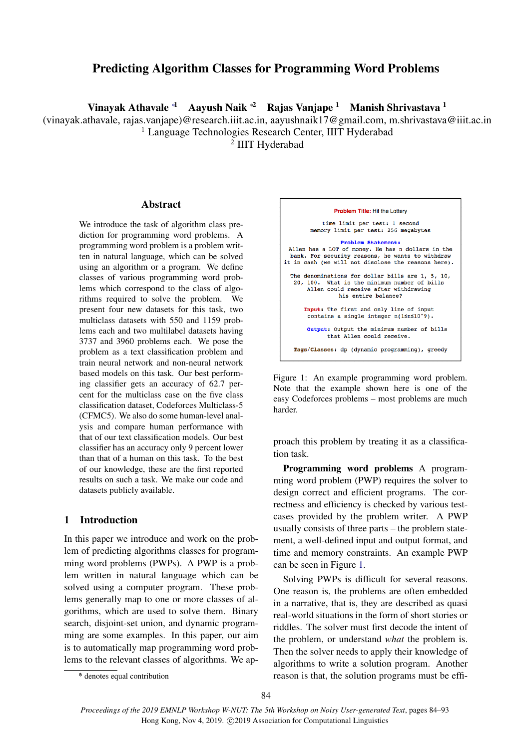# Predicting Algorithm Classes for Programming Word Problems

Vinayak Athavale <sup>∗</sup><sup>1</sup> Aayush Naik <sup>∗</sup><sup>2</sup> Rajas Vanjape <sup>1</sup> Manish Shrivastava <sup>1</sup>

(vinayak.athavale, rajas.vanjape)@research.iiit.ac.in, aayushnaik17@gmail.com, m.shrivastava@iiit.ac.in

<sup>1</sup> Language Technologies Research Center, IIIT Hyderabad

2 IIIT Hyderabad

# Abstract

We introduce the task of algorithm class prediction for programming word problems. A programming word problem is a problem written in natural language, which can be solved using an algorithm or a program. We define classes of various programming word problems which correspond to the class of algorithms required to solve the problem. We present four new datasets for this task, two multiclass datasets with 550 and 1159 problems each and two multilabel datasets having 3737 and 3960 problems each. We pose the problem as a text classification problem and train neural network and non-neural network based models on this task. Our best performing classifier gets an accuracy of 62.7 percent for the multiclass case on the five class classification dataset, Codeforces Multiclass-5 (CFMC5). We also do some human-level analysis and compare human performance with that of our text classification models. Our best classifier has an accuracy only 9 percent lower than that of a human on this task. To the best of our knowledge, these are the first reported results on such a task. We make our code and datasets publicly available.

# <span id="page-0-1"></span>1 Introduction

In this paper we introduce and work on the problem of predicting algorithms classes for programming word problems (PWPs). A PWP is a problem written in natural language which can be solved using a computer program. These problems generally map to one or more classes of algorithms, which are used to solve them. Binary search, disjoint-set union, and dynamic programming are some examples. In this paper, our aim is to automatically map programming word problems to the relevant classes of algorithms. We ap-



<span id="page-0-0"></span>

proach this problem by treating it as a classification task.

Programming word problems A programming word problem (PWP) requires the solver to design correct and efficient programs. The correctness and efficiency is checked by various testcases provided by the problem writer. A PWP usually consists of three parts – the problem statement, a well-defined input and output format, and time and memory constraints. An example PWP can be seen in Figure [1.](#page-0-0)

Solving PWPs is difficult for several reasons. One reason is, the problems are often embedded in a narrative, that is, they are described as quasi real-world situations in the form of short stories or riddles. The solver must first decode the intent of the problem, or understand *what* the problem is. Then the solver needs to apply their knowledge of algorithms to write a solution program. Another reason is that, the solution programs must be effi-

<sup>∗</sup> \* denotes equal contribution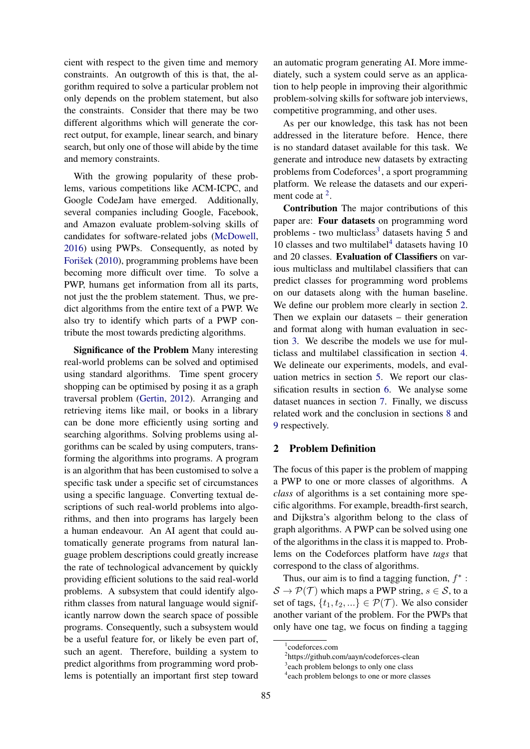cient with respect to the given time and memory constraints. An outgrowth of this is that, the algorithm required to solve a particular problem not only depends on the problem statement, but also the constraints. Consider that there may be two different algorithms which will generate the correct output, for example, linear search, and binary search, but only one of those will abide by the time and memory constraints.

With the growing popularity of these problems, various competitions like ACM-ICPC, and Google CodeJam have emerged. Additionally, several companies including Google, Facebook, and Amazon evaluate problem-solving skills of candidates for software-related jobs [\(McDowell,](#page-9-0) [2016\)](#page-9-0) using PWPs. Consequently, as noted by Forišek [\(2010\)](#page-8-0), programming problems have been becoming more difficult over time. To solve a PWP, humans get information from all its parts, not just the the problem statement. Thus, we predict algorithms from the entire text of a PWP. We also try to identify which parts of a PWP contribute the most towards predicting algorithms.

Significance of the Problem Many interesting real-world problems can be solved and optimised using standard algorithms. Time spent grocery shopping can be optimised by posing it as a graph traversal problem [\(Gertin,](#page-8-1) [2012\)](#page-8-1). Arranging and retrieving items like mail, or books in a library can be done more efficiently using sorting and searching algorithms. Solving problems using algorithms can be scaled by using computers, transforming the algorithms into programs. A program is an algorithm that has been customised to solve a specific task under a specific set of circumstances using a specific language. Converting textual descriptions of such real-world problems into algorithms, and then into programs has largely been a human endeavour. An AI agent that could automatically generate programs from natural language problem descriptions could greatly increase the rate of technological advancement by quickly providing efficient solutions to the said real-world problems. A subsystem that could identify algorithm classes from natural language would significantly narrow down the search space of possible programs. Consequently, such a subsystem would be a useful feature for, or likely be even part of, such an agent. Therefore, building a system to predict algorithms from programming word problems is potentially an important first step toward

an automatic program generating AI. More immediately, such a system could serve as an application to help people in improving their algorithmic problem-solving skills for software job interviews, competitive programming, and other uses.

As per our knowledge, this task has not been addressed in the literature before. Hence, there is no standard dataset available for this task. We generate and introduce new datasets by extracting problems from Codeforces<sup>[1](#page-1-0)</sup>, a sport programming platform. We release the datasets and our experiment code at  $2$ .

Contribution The major contributions of this paper are: Four datasets on programming word problems - two multiclass<sup>[3](#page-1-2)</sup> datasets having 5 and 10 classes and two multilabel<sup>[4](#page-1-3)</sup> datasets having 10 and 20 classes. Evaluation of Classifiers on various multiclass and multilabel classifiers that can predict classes for programming word problems on our datasets along with the human baseline. We define our problem more clearly in section [2.](#page-1-4) Then we explain our datasets – their generation and format along with human evaluation in section [3.](#page-2-0) We describe the models we use for multiclass and multilabel classification in section [4.](#page-3-0) We delineate our experiments, models, and evaluation metrics in section [5.](#page-4-0) We report our classification results in section [6.](#page-5-0) We analyse some dataset nuances in section [7.](#page-5-1) Finally, we discuss related work and the conclusion in sections [8](#page-6-0) and [9](#page-7-0) respectively.

### <span id="page-1-4"></span>2 Problem Definition

The focus of this paper is the problem of mapping a PWP to one or more classes of algorithms. A *class* of algorithms is a set containing more specific algorithms. For example, breadth-first search, and Dijkstra's algorithm belong to the class of graph algorithms. A PWP can be solved using one of the algorithms in the class it is mapped to. Problems on the Codeforces platform have *tags* that correspond to the class of algorithms.

Thus, our aim is to find a tagging function,  $f^*$ :  $S \to \mathcal{P}(\mathcal{T})$  which maps a PWP string,  $s \in \mathcal{S}$ , to a set of tags,  $\{t_1, t_2, ...\} \in \mathcal{P}(\mathcal{T})$ . We also consider another variant of the problem. For the PWPs that only have one tag, we focus on finding a tagging

<span id="page-1-0"></span><sup>1</sup> codeforces.com

<span id="page-1-1"></span><sup>2</sup> https://github.com/aayn/codeforces-clean

<span id="page-1-2"></span><sup>3</sup> each problem belongs to only one class

<span id="page-1-3"></span><sup>4</sup> each problem belongs to one or more classes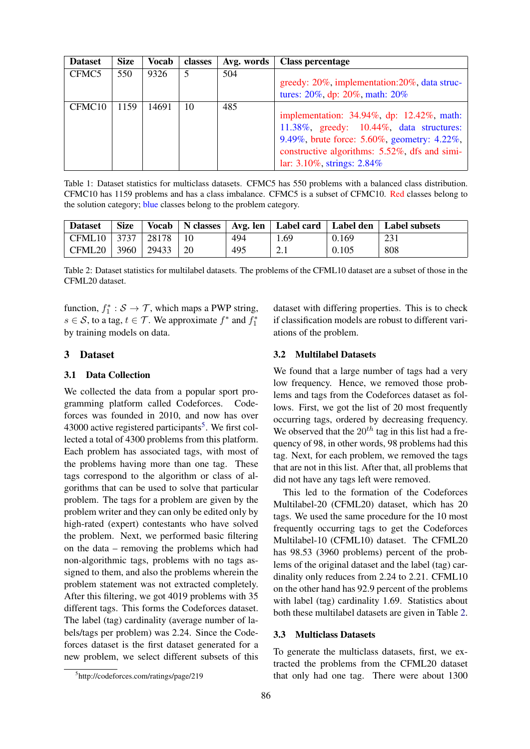| <b>Dataset</b>     | <b>Size</b> | Vocab | classes | Avg. words | <b>Class percentage</b>                                                                                                                                                                                             |
|--------------------|-------------|-------|---------|------------|---------------------------------------------------------------------------------------------------------------------------------------------------------------------------------------------------------------------|
| CFMC5              | 550         | 9326  | 5       | 504        | greedy: 20%, implementation: 20%, data struc-<br>tures: 20%, dp: 20%, math: 20%                                                                                                                                     |
| CFMC <sub>10</sub> | 1159        | 14691 | 10      | 485        | implementation: 34.94%, dp: 12.42%, math:<br>11.38%, greedy: 10.44%, data structures:<br>9.49%, brute force: 5.60%, geometry: 4.22%,<br>constructive algorithms: 5.52%, dfs and simi-<br>lar: 3.10%, strings: 2.84% |

<span id="page-2-3"></span>Table 1: Dataset statistics for multiclass datasets. CFMC5 has 550 problems with a balanced class distribution. CFMC10 has 1159 problems and has a class imbalance. CFMC5 is a subset of CFMC10. Red classes belong to the solution category; blue classes belong to the problem category.

| <b>Dataset</b>                      | <b>Size</b> |                        | Vocab   N classes |     |      |       | Avg. len   Label card   Label den   Label subsets |
|-------------------------------------|-------------|------------------------|-------------------|-----|------|-------|---------------------------------------------------|
| $\vert$ CFML10 $\vert$ 3737 $\vert$ |             | $\frac{1}{28178}$   10 |                   | 494 | 1.69 | 0.169 | 231                                               |
| CFML20   3960   29433   20          |             |                        |                   | 495 | 2.1  | 0.105 | 808                                               |

<span id="page-2-2"></span>Table 2: Dataset statistics for multilabel datasets. The problems of the CFML10 dataset are a subset of those in the CFML20 dataset.

function,  $f_1^* : \mathcal{S} \to \mathcal{T}$ , which maps a PWP string,  $s \in S$ , to a tag,  $t \in T$ . We approximate  $f^*$  and  $f_1^*$ by training models on data.

## <span id="page-2-0"></span>3 Dataset

### 3.1 Data Collection

We collected the data from a popular sport programming platform called Codeforces. Codeforces was founded in 2010, and now has over 43000 active registered participants<sup>[5](#page-2-1)</sup>. We first collected a total of 4300 problems from this platform. Each problem has associated tags, with most of the problems having more than one tag. These tags correspond to the algorithm or class of algorithms that can be used to solve that particular problem. The tags for a problem are given by the problem writer and they can only be edited only by high-rated (expert) contestants who have solved the problem. Next, we performed basic filtering on the data – removing the problems which had non-algorithmic tags, problems with no tags assigned to them, and also the problems wherein the problem statement was not extracted completely. After this filtering, we got 4019 problems with 35 different tags. This forms the Codeforces dataset. The label (tag) cardinality (average number of labels/tags per problem) was 2.24. Since the Codeforces dataset is the first dataset generated for a new problem, we select different subsets of this

dataset with differing properties. This is to check if classification models are robust to different variations of the problem.

### 3.2 Multilabel Datasets

We found that a large number of tags had a very low frequency. Hence, we removed those problems and tags from the Codeforces dataset as follows. First, we got the list of 20 most frequently occurring tags, ordered by decreasing frequency. We observed that the  $20^{th}$  tag in this list had a frequency of 98, in other words, 98 problems had this tag. Next, for each problem, we removed the tags that are not in this list. After that, all problems that did not have any tags left were removed.

This led to the formation of the Codeforces Multilabel-20 (CFML20) dataset, which has 20 tags. We used the same procedure for the 10 most frequently occurring tags to get the Codeforces Multilabel-10 (CFML10) dataset. The CFML20 has 98.53 (3960 problems) percent of the problems of the original dataset and the label (tag) cardinality only reduces from 2.24 to 2.21. CFML10 on the other hand has 92.9 percent of the problems with label (tag) cardinality 1.69. Statistics about both these multilabel datasets are given in Table [2.](#page-2-2)

#### 3.3 Multiclass Datasets

To generate the multiclass datasets, first, we extracted the problems from the CFML20 dataset that only had one tag. There were about 1300

<span id="page-2-1"></span><sup>5</sup> http://codeforces.com/ratings/page/219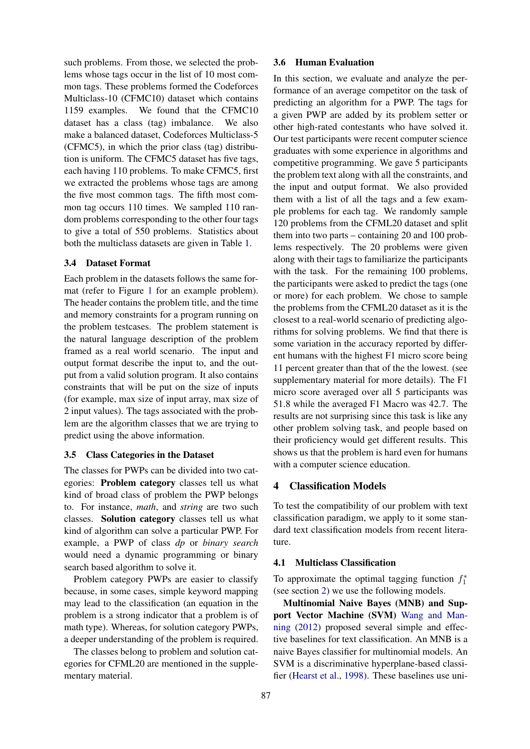such problems. From those, we selected the problems whose tags occur in the list of 10 most common tags. These problems formed the Codeforces Multiclass-10 (CFMC10) dataset which contains 1159 examples. We found that the CFMC10 dataset has a class (tag) imbalance. We also make a balanced dataset, Codeforces Multiclass-5 (CFMC5), in which the prior class (tag) distribution is uniform. The CFMC5 dataset has five tags, each having 110 problems. To make CFMC5, first we extracted the problems whose tags are among the five most common tags. The fifth most common tag occurs 110 times. We sampled 110 random problems corresponding to the other four tags to give a total of 550 problems. Statistics about both the multiclass datasets are given in Table [1.](#page-2-3)

### 3.4 Dataset Format

Each problem in the datasets follows the same format (refer to Figure [1](#page-0-0) for an example problem). The header contains the problem title, and the time and memory constraints for a program running on the problem testcases. The problem statement is the natural language description of the problem framed as a real world scenario. The input and output format describe the input to, and the output from a valid solution program. It also contains constraints that will be put on the size of inputs (for example, max size of input array, max size of 2 input values). The tags associated with the problem are the algorithm classes that we are trying to predict using the above information.

### 3.5 Class Categories in the Dataset

The classes for PWPs can be divided into two categories: Problem category classes tell us what kind of broad class of problem the PWP belongs to. For instance, *math*, and *string* are two such classes. Solution category classes tell us what kind of algorithm can solve a particular PWP. For example, a PWP of class *dp* or *binary search* would need a dynamic programming or binary search based algorithm to solve it.

Problem category PWPs are easier to classify because, in some cases, simple keyword mapping may lead to the classification (an equation in the problem is a strong indicator that a problem is of math type). Whereas, for solution category PWPs, a deeper understanding of the problem is required.

The classes belong to problem and solution categories for CFML20 are mentioned in the supplementary material.

#### 3.6 Human Evaluation

In this section, we evaluate and analyze the performance of an average competitor on the task of predicting an algorithm for a PWP. The tags for a given PWP are added by its problem setter or other high-rated contestants who have solved it. Our test participants were recent computer science graduates with some experience in algorithms and competitive programming. We gave 5 participants the problem text along with all the constraints, and the input and output format. We also provided them with a list of all the tags and a few example problems for each tag. We randomly sample 120 problems from the CFML20 dataset and split them into two parts – containing 20 and 100 problems respectively. The 20 problems were given along with their tags to familiarize the participants with the task. For the remaining 100 problems, the participants were asked to predict the tags (one or more) for each problem. We chose to sample the problems from the CFML20 dataset as it is the closest to a real-world scenario of predicting algorithms for solving problems. We find that there is some variation in the accuracy reported by different humans with the highest F1 micro score being 11 percent greater than that of the the lowest. (see supplementary material for more details). The F1 micro score averaged over all 5 participants was 51.8 while the averaged F1 Macro was 42.7. The results are not surprising since this task is like any other problem solving task, and people based on their proficiency would get different results. This shows us that the problem is hard even for humans with a computer science education.

#### <span id="page-3-0"></span>4 Classification Models

To test the compatibility of our problem with text classification paradigm, we apply to it some standard text classification models from recent literature.

### 4.1 Multiclass Classification

To approximate the optimal tagging function  $f_1^*$ (see section [2\)](#page-1-4) we use the following models.

Multinomial Naive Bayes (MNB) and Support Vector Machine (SVM) [Wang and Man](#page-9-1)[ning](#page-9-1) [\(2012\)](#page-9-1) proposed several simple and effective baselines for text classification. An MNB is a naive Bayes classifier for multinomial models. An SVM is a discriminative hyperplane-based classifier [\(Hearst et al.,](#page-8-2) [1998\)](#page-8-2). These baselines use uni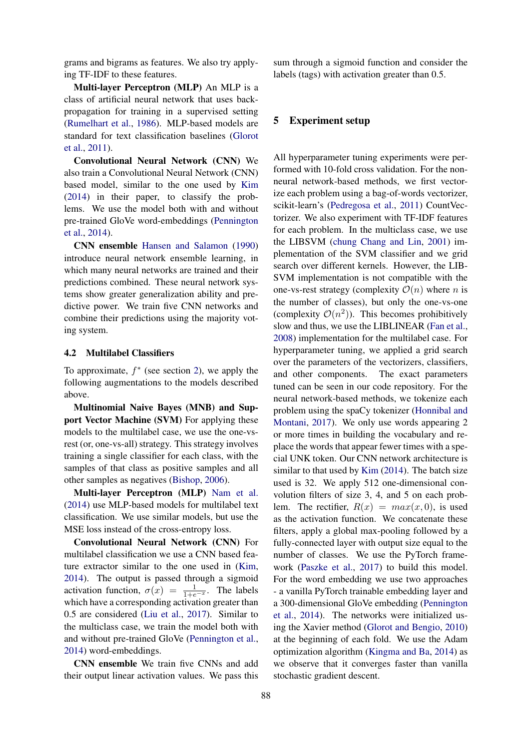grams and bigrams as features. We also try applying TF-IDF to these features.

Multi-layer Perceptron (MLP) An MLP is a class of artificial neural network that uses backpropagation for training in a supervised setting [\(Rumelhart et al.,](#page-9-2) [1986\)](#page-9-2). MLP-based models are standard for text classification baselines [\(Glorot](#page-8-3) [et al.,](#page-8-3) [2011\)](#page-8-3).

Convolutional Neural Network (CNN) We also train a Convolutional Neural Network (CNN) based model, similar to the one used by [Kim](#page-8-4) [\(2014\)](#page-8-4) in their paper, to classify the problems. We use the model both with and without pre-trained GloVe word-embeddings [\(Pennington](#page-9-3) [et al.,](#page-9-3) [2014\)](#page-9-3).

CNN ensemble [Hansen and Salamon](#page-8-5) [\(1990\)](#page-8-5) introduce neural network ensemble learning, in which many neural networks are trained and their predictions combined. These neural network systems show greater generalization ability and predictive power. We train five CNN networks and combine their predictions using the majority voting system.

#### 4.2 Multilabel Classifiers

To approximate,  $f^*$  (see section [2\)](#page-1-4), we apply the following augmentations to the models described above.

Multinomial Naive Bayes (MNB) and Support Vector Machine (SVM) For applying these models to the multilabel case, we use the one-vsrest (or, one-vs-all) strategy. This strategy involves training a single classifier for each class, with the samples of that class as positive samples and all other samples as negatives [\(Bishop,](#page-7-1) [2006\)](#page-7-1).

Multi-layer Perceptron (MLP) [Nam et al.](#page-9-4) [\(2014\)](#page-9-4) use MLP-based models for multilabel text classification. We use similar models, but use the MSE loss instead of the cross-entropy loss.

Convolutional Neural Network (CNN) For multilabel classification we use a CNN based feature extractor similar to the one used in [\(Kim,](#page-8-4) [2014\)](#page-8-4). The output is passed through a sigmoid activation function,  $\sigma(x) = \frac{1}{1+e^{-x}}$ . The labels which have a corresponding activation greater than 0.5 are considered [\(Liu et al.,](#page-8-6) [2017\)](#page-8-6). Similar to the multiclass case, we train the model both with and without pre-trained GloVe [\(Pennington et al.,](#page-9-3) [2014\)](#page-9-3) word-embeddings.

CNN ensemble We train five CNNs and add their output linear activation values. We pass this

sum through a sigmoid function and consider the labels (tags) with activation greater than 0.5.

### <span id="page-4-0"></span>5 Experiment setup

All hyperparameter tuning experiments were performed with 10-fold cross validation. For the nonneural network-based methods, we first vectorize each problem using a bag-of-words vectorizer, scikit-learn's [\(Pedregosa et al.,](#page-9-5) [2011\)](#page-9-5) CountVectorizer. We also experiment with TF-IDF features for each problem. In the multiclass case, we use the LIBSVM [\(chung Chang and Lin,](#page-8-7) [2001\)](#page-8-7) implementation of the SVM classifier and we grid search over different kernels. However, the LIB-SVM implementation is not compatible with the one-vs-rest strategy (complexity  $\mathcal{O}(n)$  where n is the number of classes), but only the one-vs-one (complexity  $\mathcal{O}(n^2)$ ). This becomes prohibitively slow and thus, we use the LIBLINEAR [\(Fan et al.,](#page-8-8) [2008\)](#page-8-8) implementation for the multilabel case. For hyperparameter tuning, we applied a grid search over the parameters of the vectorizers, classifiers, and other components. The exact parameters tuned can be seen in our code repository. For the neural network-based methods, we tokenize each problem using the spaCy tokenizer [\(Honnibal and](#page-8-9) [Montani,](#page-8-9) [2017\)](#page-8-9). We only use words appearing 2 or more times in building the vocabulary and replace the words that appear fewer times with a special UNK token. Our CNN network architecture is similar to that used by [Kim](#page-8-4) [\(2014\)](#page-8-4). The batch size used is 32. We apply 512 one-dimensional convolution filters of size 3, 4, and 5 on each problem. The rectifier,  $R(x) = max(x, 0)$ , is used as the activation function. We concatenate these filters, apply a global max-pooling followed by a fully-connected layer with output size equal to the number of classes. We use the PyTorch framework [\(Paszke et al.,](#page-9-6) [2017\)](#page-9-6) to build this model. For the word embedding we use two approaches - a vanilla PyTorch trainable embedding layer and a 300-dimensional GloVe embedding [\(Pennington](#page-9-3) [et al.,](#page-9-3) [2014\)](#page-9-3). The networks were initialized using the Xavier method [\(Glorot and Bengio,](#page-8-10) [2010\)](#page-8-10) at the beginning of each fold. We use the Adam optimization algorithm [\(Kingma and Ba,](#page-8-11) [2014\)](#page-8-11) as we observe that it converges faster than vanilla stochastic gradient descent.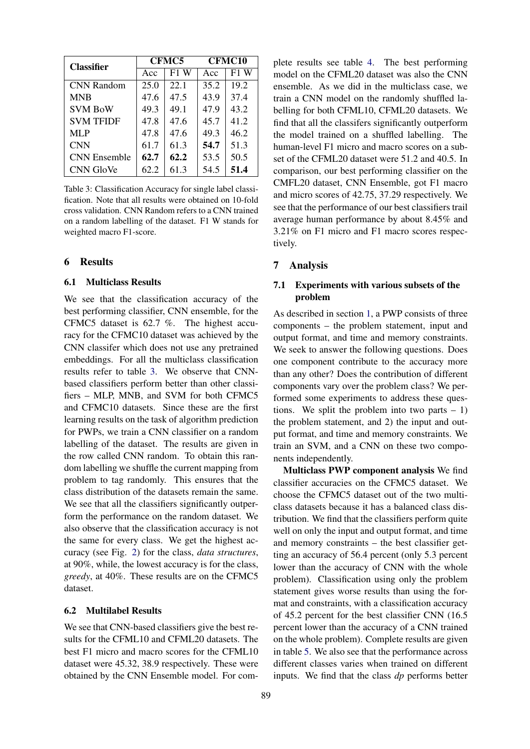| <b>Classifier</b>   |      | <b>CFMC5</b> | <b>CFMC10</b> |        |  |
|---------------------|------|--------------|---------------|--------|--|
|                     | Acc  | F1 W         | Acc           | $F1$ W |  |
| <b>CNN Random</b>   | 25.0 | 22.1         | 35.2          | 19.2   |  |
| <b>MNB</b>          | 47.6 | 47.5         | 43.9          | 37.4   |  |
| <b>SVM BoW</b>      | 49.3 | 49.1         | 47.9          | 43.2   |  |
| <b>SVM TFIDF</b>    | 47.8 | 47.6         | 45.7          | 41.2   |  |
| MLP                 | 47.8 | 47.6         | 49.3          | 46.2   |  |
| <b>CNN</b>          | 61.7 | 61.3         | 54.7          | 51.3   |  |
| <b>CNN</b> Ensemble | 62.7 | 62.2         | 53.5          | 50.5   |  |
| CNN GloVe           | 62.2 | 61.3         | 54.5          | 51.4   |  |

<span id="page-5-2"></span>Table 3: Classification Accuracy for single label classification. Note that all results were obtained on 10-fold cross validation. CNN Random refers to a CNN trained on a random labelling of the dataset. F1 W stands for weighted macro F1-score.

#### <span id="page-5-0"></span>6 Results

#### 6.1 Multiclass Results

We see that the classification accuracy of the best performing classifier, CNN ensemble, for the CFMC5 dataset is 62.7 %. The highest accuracy for the CFMC10 dataset was achieved by the CNN classifer which does not use any pretrained embeddings. For all the multiclass classification results refer to table [3.](#page-5-2) We observe that CNNbased classifiers perform better than other classifiers – MLP, MNB, and SVM for both CFMC5 and CFMC10 datasets. Since these are the first learning results on the task of algorithm prediction for PWPs, we train a CNN classifier on a random labelling of the dataset. The results are given in the row called CNN random. To obtain this random labelling we shuffle the current mapping from problem to tag randomly. This ensures that the class distribution of the datasets remain the same. We see that all the classifiers significantly outperform the performance on the random dataset. We also observe that the classification accuracy is not the same for every class. We get the highest accuracy (see Fig. [2\)](#page-7-2) for the class, *data structures*, at 90%, while, the lowest accuracy is for the class, *greedy*, at 40%. These results are on the CFMC5 dataset.

### 6.2 Multilabel Results

We see that CNN-based classifiers give the best results for the CFML10 and CFML20 datasets. The best F1 micro and macro scores for the CFML10 dataset were 45.32, 38.9 respectively. These were obtained by the CNN Ensemble model. For complete results see table [4.](#page-6-1) The best performing model on the CFML20 dataset was also the CNN ensemble. As we did in the multiclass case, we train a CNN model on the randomly shuffled labelling for both CFML10, CFML20 datasets. We find that all the classifers significantly outperform the model trained on a shuffled labelling. The human-level F1 micro and macro scores on a subset of the CFML20 dataset were 51.2 and 40.5. In comparison, our best performing classifier on the CMFL20 dataset, CNN Ensemble, got F1 macro and micro scores of 42.75, 37.29 respectively. We see that the performance of our best classifiers trail average human performance by about 8.45% and 3.21% on F1 micro and F1 macro scores respectively.

### <span id="page-5-1"></span>7 Analysis

# 7.1 Experiments with various subsets of the problem

As described in section [1,](#page-0-1) a PWP consists of three components – the problem statement, input and output format, and time and memory constraints. We seek to answer the following questions. Does one component contribute to the accuracy more than any other? Does the contribution of different components vary over the problem class? We performed some experiments to address these questions. We split the problem into two parts  $-1$ ) the problem statement, and 2) the input and output format, and time and memory constraints. We train an SVM, and a CNN on these two components independently.

Multiclass PWP component analysis We find classifier accuracies on the CFMC5 dataset. We choose the CFMC5 dataset out of the two multiclass datasets because it has a balanced class distribution. We find that the classifiers perform quite well on only the input and output format, and time and memory constraints – the best classifier getting an accuracy of 56.4 percent (only 5.3 percent lower than the accuracy of CNN with the whole problem). Classification using only the problem statement gives worse results than using the format and constraints, with a classification accuracy of 45.2 percent for the best classifier CNN (16.5 percent lower than the accuracy of a CNN trained on the whole problem). Complete results are given in table [5.](#page-7-3) We also see that the performance across different classes varies when trained on different inputs. We find that the class *dp* performs better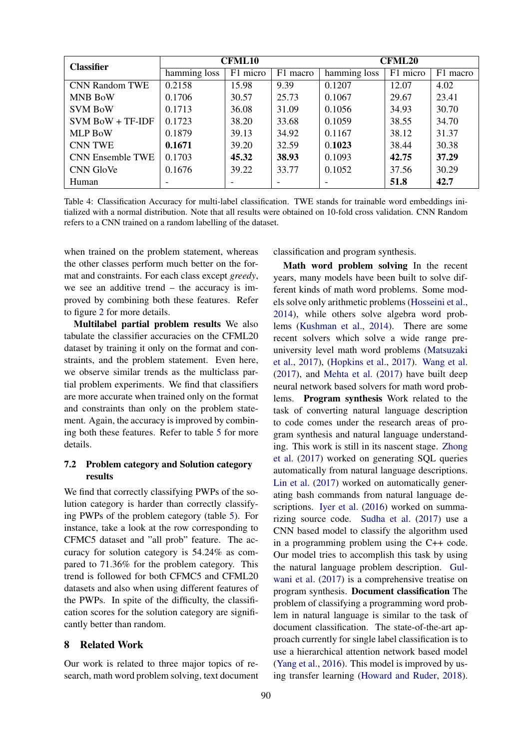| <b>Classifier</b>       |              | <b>CFML10</b>            |       | <b>CFML20</b> |          |          |  |
|-------------------------|--------------|--------------------------|-------|---------------|----------|----------|--|
|                         | hamming loss | F1 micro<br>F1 macro     |       | hamming loss  | F1 micro | F1 macro |  |
| <b>CNN Random TWE</b>   | 0.2158       | 15.98                    | 9.39  | 0.1207        | 12.07    | 4.02     |  |
| <b>MNB BoW</b>          | 0.1706       | 30.57                    | 25.73 | 0.1067        | 29.67    | 23.41    |  |
| <b>SVM BoW</b>          | 0.1713       | 36.08                    | 31.09 | 0.1056        | 34.93    | 30.70    |  |
| $SVM$ BoW + TF-IDF      | 0.1723       | 38.20                    | 33.68 | 0.1059        | 38.55    | 34.70    |  |
| <b>MLP BoW</b>          | 0.1879       | 39.13                    | 34.92 | 0.1167        | 38.12    | 31.37    |  |
| <b>CNN TWE</b>          | 0.1671       | 39.20                    | 32.59 | 0.1023        | 38.44    | 30.38    |  |
| <b>CNN Ensemble TWE</b> | 0.1703       | 45.32                    | 38.93 | 0.1093        | 42.75    | 37.29    |  |
| CNN GloVe               | 0.1676       | 39.22                    | 33.77 | 0.1052        | 37.56    | 30.29    |  |
| Human                   | ٠            | $\overline{\phantom{0}}$ |       |               | 51.8     | 42.7     |  |

<span id="page-6-1"></span>Table 4: Classification Accuracy for multi-label classification. TWE stands for trainable word embeddings initialized with a normal distribution. Note that all results were obtained on 10-fold cross validation. CNN Random refers to a CNN trained on a random labelling of the dataset.

when trained on the problem statement, whereas the other classes perform much better on the format and constraints. For each class except *greedy*, we see an additive trend – the accuracy is improved by combining both these features. Refer to figure [2](#page-7-2) for more details.

Multilabel partial problem results We also tabulate the classifier accuracies on the CFML20 dataset by training it only on the format and constraints, and the problem statement. Even here, we observe similar trends as the multiclass partial problem experiments. We find that classifiers are more accurate when trained only on the format and constraints than only on the problem statement. Again, the accuracy is improved by combining both these features. Refer to table [5](#page-7-3) for more details.

# 7.2 Problem category and Solution category results

We find that correctly classifying PWPs of the solution category is harder than correctly classifying PWPs of the problem category (table [5\)](#page-7-3). For instance, take a look at the row corresponding to CFMC5 dataset and "all prob" feature. The accuracy for solution category is 54.24% as compared to 71.36% for the problem category. This trend is followed for both CFMC5 and CFML20 datasets and also when using different features of the PWPs. In spite of the difficulty, the classification scores for the solution category are significantly better than random.

# <span id="page-6-0"></span>8 Related Work

Our work is related to three major topics of research, math word problem solving, text document classification and program synthesis.

Math word problem solving In the recent years, many models have been built to solve different kinds of math word problems. Some models solve only arithmetic problems [\(Hosseini et al.,](#page-8-12) [2014\)](#page-8-12), while others solve algebra word problems [\(Kushman et al.,](#page-8-13) [2014\)](#page-8-13). There are some recent solvers which solve a wide range preuniversity level math word problems [\(Matsuzaki](#page-8-14) [et al.,](#page-8-14) [2017\)](#page-8-14), [\(Hopkins et al.,](#page-8-15) [2017\)](#page-8-15). [Wang et al.](#page-9-7) [\(2017\)](#page-9-7), and [Mehta et al.](#page-9-8) [\(2017\)](#page-9-8) have built deep neural network based solvers for math word problems. Program synthesis Work related to the task of converting natural language description to code comes under the research areas of program synthesis and natural language understanding. This work is still in its nascent stage. [Zhong](#page-9-9) [et al.](#page-9-9) [\(2017\)](#page-9-9) worked on generating SQL queries automatically from natural language descriptions. [Lin et al.](#page-8-16) [\(2017\)](#page-8-16) worked on automatically generating bash commands from natural language descriptions. [Iyer et al.](#page-8-17) [\(2016\)](#page-8-17) worked on summarizing source code. [Sudha et al.](#page-9-10) [\(2017\)](#page-9-10) use a CNN based model to classify the algorithm used in a programming problem using the C++ code. Our model tries to accomplish this task by using the natural language problem description. [Gul](#page-8-18)[wani et al.](#page-8-18) [\(2017\)](#page-8-18) is a comprehensive treatise on program synthesis. Document classification The problem of classifying a programming word problem in natural language is similar to the task of document classification. The state-of-the-art approach currently for single label classification is to use a hierarchical attention network based model [\(Yang et al.,](#page-9-11) [2016\)](#page-9-11). This model is improved by using transfer learning [\(Howard and Ruder,](#page-8-19) [2018\)](#page-8-19).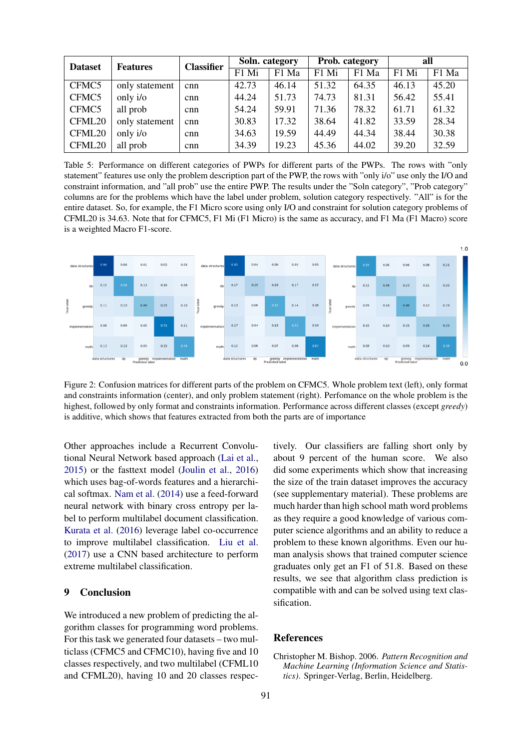| <b>Dataset</b> | <b>Features</b> | <b>Classifier</b> | Soln. category |       | Prob. category |       | all   |       |
|----------------|-----------------|-------------------|----------------|-------|----------------|-------|-------|-------|
|                |                 |                   | F1 Mi          | F1 Ma | F1 Mi          | F1 Ma | F1 Mi | F1 Ma |
| CFMC5          | only statement  | cnn               | 42.73          | 46.14 | 51.32          | 64.35 | 46.13 | 45.20 |
| CFMC5          | only i/o        | cnn               | 44.24          | 51.73 | 74.73          | 81.31 | 56.42 | 55.41 |
| CFMC5          | all prob        | cnn               | 54.24          | 59.91 | 71.36          | 78.32 | 61.71 | 61.32 |
| CFML20         | only statement  | cnn               | 30.83          | 17.32 | 38.64          | 41.82 | 33.59 | 28.34 |
| CFML20         | only i/o        | cnn               | 34.63          | 19.59 | 44.49          | 44.34 | 38.44 | 30.38 |
| CFML20         | all prob        | cnn               | 34.39          | 19.23 | 45.36          | 44.02 | 39.20 | 32.59 |

<span id="page-7-3"></span>Table 5: Performance on different categories of PWPs for different parts of the PWPs. The rows with "only statement" features use only the problem description part of the PWP, the rows with "only i/o" use only the I/O and constraint information, and "all prob" use the entire PWP. The results under the "Soln category", "Prob category" columns are for the problems which have the label under problem, solution category respectively. "All" is for the entire dataset. So, for example, the F1 Micro score using only I/O and constraint for solution category problems of CFML20 is 34.63. Note that for CFMC5, F1 Mi (F1 Micro) is the same as accuracy, and F1 Ma (F1 Macro) score is a weighted Macro F1-score.



<span id="page-7-2"></span>Figure 2: Confusion matrices for different parts of the problem on CFMC5. Whole problem text (left), only format and constraints information (center), and only problem statement (right). Perfomance on the whole problem is the highest, followed by only format and constraints information. Performance across different classes (except *greedy*) is additive, which shows that features extracted from both the parts are of importance

Other approaches include a Recurrent Convolutional Neural Network based approach [\(Lai et al.,](#page-8-20) [2015\)](#page-8-20) or the fasttext model [\(Joulin et al.,](#page-8-21) [2016\)](#page-8-21) which uses bag-of-words features and a hierarchical softmax. [Nam et al.](#page-9-4) [\(2014\)](#page-9-4) use a feed-forward neural network with binary cross entropy per label to perform multilabel document classification. [Kurata et al.](#page-8-22) [\(2016\)](#page-8-22) leverage label co-occurrence to improve multilabel classification. [Liu et al.](#page-8-6) [\(2017\)](#page-8-6) use a CNN based architecture to perform extreme multilabel classification.

# <span id="page-7-0"></span>9 Conclusion

We introduced a new problem of predicting the algorithm classes for programming word problems. For this task we generated four datasets – two multiclass (CFMC5 and CFMC10), having five and 10 classes respectively, and two multilabel (CFML10 and CFML20), having 10 and 20 classes respectively. Our classifiers are falling short only by about 9 percent of the human score. We also did some experiments which show that increasing the size of the train dataset improves the accuracy (see supplementary material). These problems are much harder than high school math word problems as they require a good knowledge of various computer science algorithms and an ability to reduce a problem to these known algorithms. Even our human analysis shows that trained computer science graduates only get an F1 of 51.8. Based on these results, we see that algorithm class prediction is compatible with and can be solved using text classification.

#### References

<span id="page-7-1"></span>Christopher M. Bishop. 2006. *Pattern Recognition and Machine Learning (Information Science and Statistics)*. Springer-Verlag, Berlin, Heidelberg.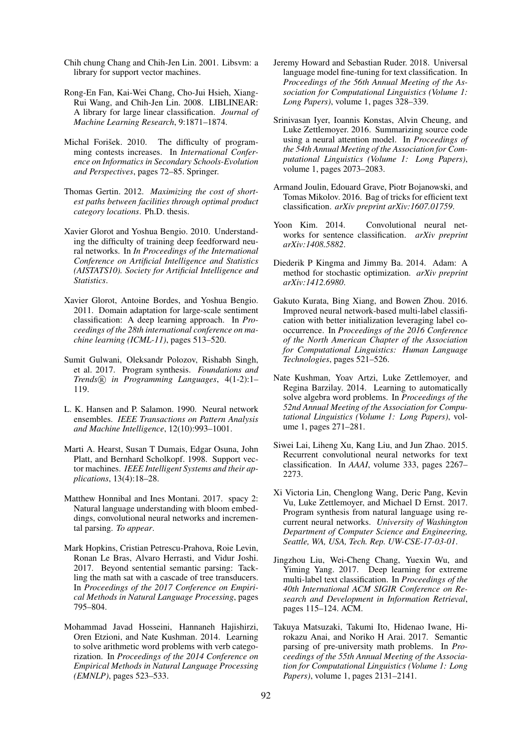- <span id="page-8-7"></span>Chih chung Chang and Chih-Jen Lin. 2001. Libsvm: a library for support vector machines.
- <span id="page-8-8"></span>Rong-En Fan, Kai-Wei Chang, Cho-Jui Hsieh, Xiang-Rui Wang, and Chih-Jen Lin. 2008. LIBLINEAR: A library for large linear classification. *Journal of Machine Learning Research*, 9:1871–1874.
- <span id="page-8-0"></span>Michal Forišek. 2010. The difficulty of programming contests increases. In *International Conference on Informatics in Secondary Schools-Evolution and Perspectives*, pages 72–85. Springer.
- <span id="page-8-1"></span>Thomas Gertin. 2012. *Maximizing the cost of shortest paths between facilities through optimal product category locations*. Ph.D. thesis.
- <span id="page-8-10"></span>Xavier Glorot and Yoshua Bengio. 2010. Understanding the difficulty of training deep feedforward neural networks. In *In Proceedings of the International Conference on Artificial Intelligence and Statistics (AISTATS10). Society for Artificial Intelligence and Statistics*.
- <span id="page-8-3"></span>Xavier Glorot, Antoine Bordes, and Yoshua Bengio. 2011. Domain adaptation for large-scale sentiment classification: A deep learning approach. In *Proceedings of the 28th international conference on machine learning (ICML-11)*, pages 513–520.
- <span id="page-8-18"></span>Sumit Gulwani, Oleksandr Polozov, Rishabh Singh, et al. 2017. Program synthesis. *Foundations and Trends* <sup>R</sup> *in Programming Languages*, 4(1-2):1– 119.
- <span id="page-8-5"></span>L. K. Hansen and P. Salamon. 1990. Neural network ensembles. *IEEE Transactions on Pattern Analysis and Machine Intelligence*, 12(10):993–1001.
- <span id="page-8-2"></span>Marti A. Hearst, Susan T Dumais, Edgar Osuna, John Platt, and Bernhard Scholkopf. 1998. Support vector machines. *IEEE Intelligent Systems and their applications*, 13(4):18–28.
- <span id="page-8-9"></span>Matthew Honnibal and Ines Montani. 2017. spacy 2: Natural language understanding with bloom embeddings, convolutional neural networks and incremental parsing. *To appear*.
- <span id="page-8-15"></span>Mark Hopkins, Cristian Petrescu-Prahova, Roie Levin, Ronan Le Bras, Alvaro Herrasti, and Vidur Joshi. 2017. Beyond sentential semantic parsing: Tackling the math sat with a cascade of tree transducers. In *Proceedings of the 2017 Conference on Empirical Methods in Natural Language Processing*, pages 795–804.
- <span id="page-8-12"></span>Mohammad Javad Hosseini, Hannaneh Hajishirzi, Oren Etzioni, and Nate Kushman. 2014. Learning to solve arithmetic word problems with verb categorization. In *Proceedings of the 2014 Conference on Empirical Methods in Natural Language Processing (EMNLP)*, pages 523–533.
- <span id="page-8-19"></span>Jeremy Howard and Sebastian Ruder. 2018. Universal language model fine-tuning for text classification. In *Proceedings of the 56th Annual Meeting of the Association for Computational Linguistics (Volume 1: Long Papers)*, volume 1, pages 328–339.
- <span id="page-8-17"></span>Srinivasan Iyer, Ioannis Konstas, Alvin Cheung, and Luke Zettlemoyer. 2016. Summarizing source code using a neural attention model. In *Proceedings of the 54th Annual Meeting of the Association for Computational Linguistics (Volume 1: Long Papers)*, volume 1, pages 2073–2083.
- <span id="page-8-21"></span>Armand Joulin, Edouard Grave, Piotr Bojanowski, and Tomas Mikolov. 2016. Bag of tricks for efficient text classification. *arXiv preprint arXiv:1607.01759*.
- <span id="page-8-4"></span>Yoon Kim. 2014. Convolutional neural networks for sentence classification. *arXiv preprint arXiv:1408.5882*.
- <span id="page-8-11"></span>Diederik P Kingma and Jimmy Ba. 2014. Adam: A method for stochastic optimization. *arXiv preprint arXiv:1412.6980*.
- <span id="page-8-22"></span>Gakuto Kurata, Bing Xiang, and Bowen Zhou. 2016. Improved neural network-based multi-label classification with better initialization leveraging label cooccurrence. In *Proceedings of the 2016 Conference of the North American Chapter of the Association for Computational Linguistics: Human Language Technologies*, pages 521–526.
- <span id="page-8-13"></span>Nate Kushman, Yoav Artzi, Luke Zettlemoyer, and Regina Barzilay. 2014. Learning to automatically solve algebra word problems. In *Proceedings of the 52nd Annual Meeting of the Association for Computational Linguistics (Volume 1: Long Papers)*, volume 1, pages 271–281.
- <span id="page-8-20"></span>Siwei Lai, Liheng Xu, Kang Liu, and Jun Zhao. 2015. Recurrent convolutional neural networks for text classification. In *AAAI*, volume 333, pages 2267– 2273.
- <span id="page-8-16"></span>Xi Victoria Lin, Chenglong Wang, Deric Pang, Kevin Vu, Luke Zettlemoyer, and Michael D Ernst. 2017. Program synthesis from natural language using recurrent neural networks. *University of Washington Department of Computer Science and Engineering, Seattle, WA, USA, Tech. Rep. UW-CSE-17-03-01*.
- <span id="page-8-6"></span>Jingzhou Liu, Wei-Cheng Chang, Yuexin Wu, and Yiming Yang. 2017. Deep learning for extreme multi-label text classification. In *Proceedings of the 40th International ACM SIGIR Conference on Research and Development in Information Retrieval*, pages 115–124. ACM.
- <span id="page-8-14"></span>Takuya Matsuzaki, Takumi Ito, Hidenao Iwane, Hirokazu Anai, and Noriko H Arai. 2017. Semantic parsing of pre-university math problems. In *Proceedings of the 55th Annual Meeting of the Association for Computational Linguistics (Volume 1: Long Papers)*, volume 1, pages 2131–2141.